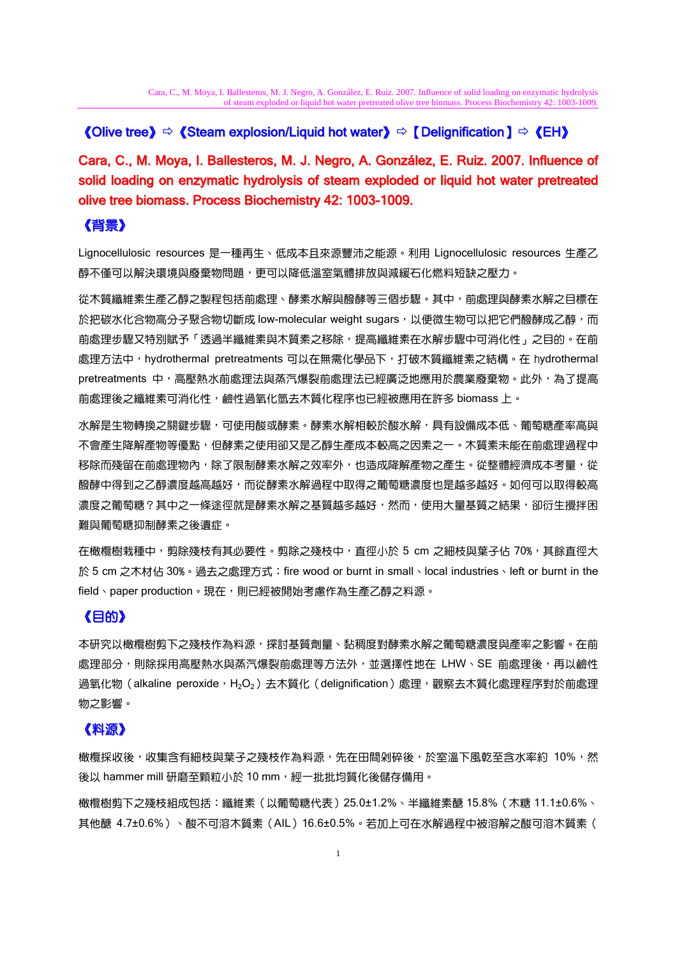## 《Olive tree》 $\Rightarrow$  《Steam explosion/Liquid hot water》 $\Rightarrow$  【Delignification 】 $\Rightarrow$  《EH》

Cara, C., M. Moya, I. Ballesteros, M. J. Negro, A. González, E. Ruiz. 2007. Influence of solid loading on enzymatic hydrolysis of steam exploded or liquid hot water pretreated olive tree biomass. Process Biochemistry 42: 1003-1009.

## 《背景》

Lignocellulosic resources 是一種再生、低成本且來源豐沛之能源。利用 Lignocellulosic resources 生產乙 醇不僅可以解決環境與廢棄物問題,更可以降低溫室氣體排放與減緩石化燃料短缺之壓力。

從木質纖維素生產乙醇之製程包括前處理、酵素水解與醱酵等三個步驟。其中,前處理與酵素水解之目標在 於把碳水化合物高分子聚合物切斷成 low-molecular weight sugars,以便微生物可以把它們醱酵成乙醇,而 前處理步驟又特別賦予「透過半纖維素與木質素之移除,提高纖維素在水解步驟中可消化性」之目的。在前 處理方法中,hydrothermal pretreatments 可以在無需化學品下,打破木質纖維素之結構。在 hydrothermal pretreatments 中,高壓熱水前處理法與蒸汽爆裂前處理法已經廣泛地應用於農業廢棄物。此外,為了提高 前處理後之纖維素可消化性,鹼性過氧化氫去木質化程序也已經被應用在許多 biomass 上。

水解是生物轉換之關鍵步驟,可使用酸或酵素。酵素水解相較於酸水解,具有設備成本低、葡萄糖產率高與 不會產生降解產物等優點,但酵素之使用卻又是乙醇生產成本較高之因素之一。木質素未能在前處理過程中 移除而殘留在前處理物內,除了限制酵素水解之效率外,也造成降解產物之產生。從整體經濟成本考量,從 醱酵中得到之乙醇濃度越高越好,而從酵素水解過程中取得之葡萄糖濃度也是越多越好。如何可以取得較高 濃度之葡萄糖?其中之一條途徑就是酵素水解之基質越多越好,然而,使用大量基質之結果,卻衍生攪拌困 難與葡萄糖抑制酵素之後遺症。

在橄欖樹栽種中,剪除殘枝有其必要性。剪除之殘枝中,直徑小於 5 cm 之細枝與葉子佔 70%,其餘直徑大 於 5 cm 之木材佔 30%。過去之處理方式:fire wood or burnt in small、local industries、left or burnt in the field、paper production。現在,則已經被開始考慮作為生產乙醇之料源。

# 《目的》

本研究以橄欖樹剪下之殘枝作為料源,探討基質劑量、黏稠度對酵素水解之葡萄糖濃度與產率之影響。在前 處理部分,則除採用高壓熱水與蒸汽爆裂前處理等方法外,並選擇性地在 LHW、SE 前處理後,再以鹼性 過氧化物 (alkaline peroxide, H<sub>2</sub>O<sub>2</sub>) 去木質化 (delignification) 處理,觀察去木質化處理程序對於前處理 物之影響。

# 《料源》

橄欖採收後,收集含有細枝與葉子之殘枝作為料源,先在田間剁碎後,於室溫下風乾至含水率約 10%,然 後以 hammer mill 研磨至顆粒小於 10 mm,經一批批均質化後儲存備用。

橄欖樹剪下之殘枝組成包括:纖維素(以葡萄糖代表)25.0±1.2%、半纖維素醣 15.8%(木糖 11.1±0.6%、 其他醣 4.7±0.6%)、酸不可溶木質素(AIL)16.6±0.5%。若加上可在水解過程中被溶解之酸可溶木質素(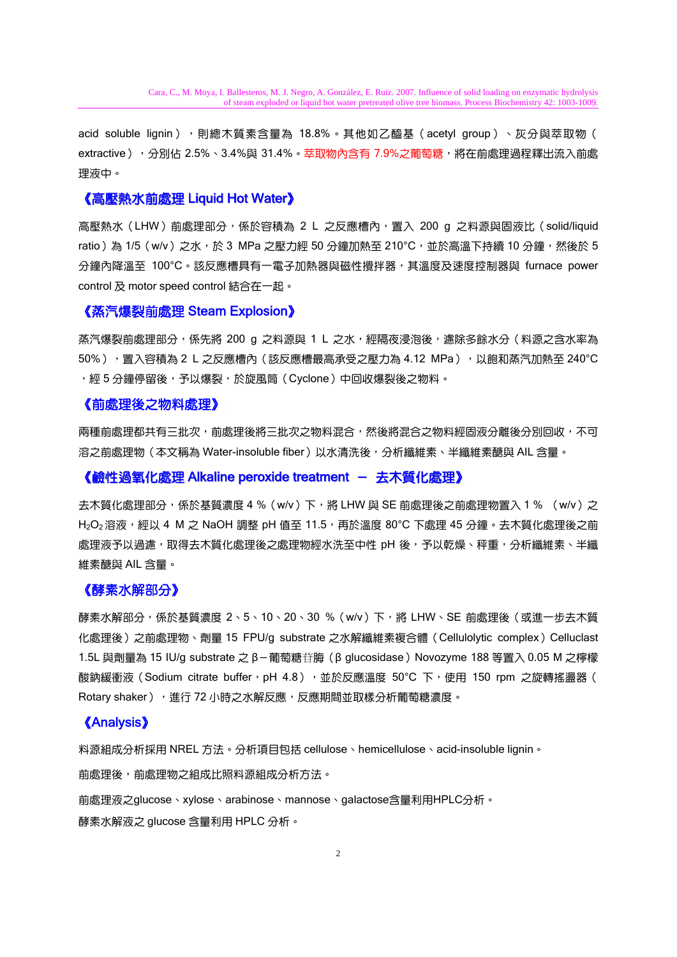acid soluble lignin),風總木質素含量為 18.8%。其他如乙醯基 (acetyl group)、灰分與萃取物 ( extractive ) ,分別佔 2.5%、3.4%與 31.4%。萃取物內含有 7.9%之葡萄糖,將在前處理過程釋出流入前處 理液中。

### 《高壓熱水前處理 Liquid Hot Water》

高壓熱水(LHW)前處理部分,係於容積為 2 L 之反應槽內,置入 200 g 之料源與固液比(solid/liquid ratio)為 1/5 (w/v)之水,於 3 MPa 之壓力經 50 分鐘加熱至 210℃,並於高溫下持續 10 分鐘,然後於 5 分鐘內降溫至 100°C。該反應槽具有一電子加熱器與磁性攪拌器,其溫度及速度控制器與 furnace power control 及 motor speed control 結合在一起。

### 《蒸汽爆裂前處理 Steam Explosion》

蒸汽爆裂前處理部分,係先將 200 g 之料源與 1 L 之水,經隔夜浸泡後,濾除多餘水分(料源之含水率為 50% ),置入容積為 2 L 之反應槽內(該反應槽最高承受之壓力為 4.12 MPa ),以飽和蒸汽加熱至 240℃ ,經 5 分鐘停留後,予以爆裂,於旋風筒(Cyclone)中回收爆裂後之物料。

#### 《前處理後之物料處理》

兩種前處理都共有三批次,前處理後將三批次之物料混合,然後將混合之物料經固液分離後分別回收,不可 溶之前處理物(本文稱為 Water-insoluble fiber )以水清洗後,分析纖維素、半纖維素醣與 AIL 含量。

#### 《鹼性過氧化處理 Alkaline peroxide treatment — 去木質化處理》

去木質化處理部分,係於基質濃度 4 % (w/v) 下,將 LHW 與 SE 前處理後之前處理物置入 1 % (w/v) 之 H2O2 溶液,經以 4 M 之 NaOH 調整 pH 值至 11.5,再於溫度 80℃ 下處理 45 分鐘。去木質化處理後之前 處理液予以過濾,取得去木質化處理後之處理物經水洗至中性 pH 後,予以乾燥、秤重,分析纖維素、半纖 維素醣與 AIL 含量。

#### 《酵素水解部分》

酵素水解部分,係於基質濃度 2、5、10、20、30 %(w/v)下,將 LHW、SE 前處理後(或進一步去木質 化處理後)之前處理物、劑量 15 FPU/g substrate 之水解纖維素複合體 (Cellulolytic complex) Celluclast 1.5L 與劑量為 15 IU/g substrate 之 β-葡萄糖苷脢 (β glucosidase) Novozyme 188 等置入 0.05 M 之檸檬 酸鈉緩衝液 (Sodium citrate buffer, pH 4.8), 並於反應溫度 50°C 下, 使用 150 rpm 之旋轉搖盪器 ( Rotary shaker), 進行 72 小時之水解反應,反應期間並取樣分析葡萄糖濃度。

### 《Analysis》

料源組成分析採用 NREL 方法。分析項目包括 cellulose、hemicellulose、acid-insoluble lignin。

前處理後,前處理物之組成比照料源組成分析方法。

前處理液之glucose、xylose、arabinose、mannose、galactose含量利用HPLC分析。 酵素水解液之 glucose 含量利用 HPLC 分析。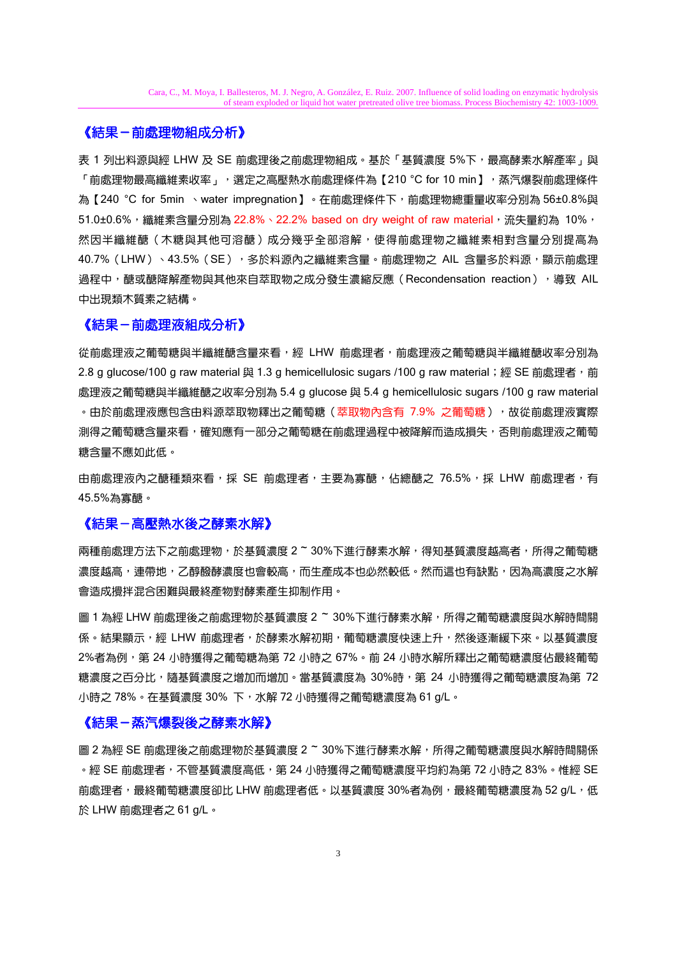### 《結果-前處理物組成分析》

表 1 列出料源與經 LHW 及 SE 前處理後之前處理物組成。基於「基質濃度 5%下,最高酵素水解產率」與 「前處理物最高纖維素收率 」,選定之高壓熱水前處理條件為【210 °C for 10 min】,蒸汽爆裂前處理條件 為【240 °C for 5min 、water impregnation】。在前處理條件下,前處理物總重量收率分別為 56±0.8%與 51.0±0.6%, 纖維素含量分別為 22.8%、22.2% based on dry weight of raw material, 流失量約為 10%, 然因半纖維醣(木糖與其他可溶醣)成分幾乎全部溶解,使得前處理物之纖維素相對含量分別提高為 40.7% (LHW) 、43.5% (SE) ,多於料源內之纖維素含量。前處理物之 AIL 含量多於料源,顯示前處理 過程中,醣或醣降解產物與其他來自萃取物之成分發生濃縮反應(Recondensation reaction), 導致 AIL 中出現類木質素之結構。

#### 《結果-前處理液組成分析》

從前處理液之葡萄糖與半纖維醣含量來看,經 LHW 前處理者,前處理液之葡萄糖與半纖維醣收率分別為 2.8 g glucose/100 g raw material 與 1.3 g hemicellulosic sugars /100 g raw material;經 SE 前處理者,前 處理液之葡萄糖與半纖維醣之收率分別為 5.4 g glucose 與 5.4 g hemicellulosic sugars /100 g raw material 。由於前處理液應包含由料源萃取物釋出之葡萄糖(萃取物內含有 7.9% 之葡萄糖),故從前處理液實際 測得之葡萄糖含量來看,確知應有一部分之葡萄糖在前處理過程中被降解而造成損失,否則前處理液之葡萄 糖含量不應如此低。

由前處理液內之醣種類來看,採 SE 前處理者,主要為寡醣,佔總醣之 76.5%,採 LHW 前處理者,有 45.5%為寡醣。

#### **《結果-高壓熱水後之酵素水解》**

兩種前處理方法下之前處理物,於基質濃度 2 ~ 30%下進行酵素水解,得知基質濃度越高者,所得之葡萄糖 濃度越高,連帶地,乙醇醱酵濃度也會較高,而生產成本也必然較低。然而這也有缺點,因為高濃度之水解 會造成攪拌混合困難與最終產物對酵素產生抑制作用。

圖 1 為經 LHW 前處理後之前處理物於基質濃度 2 ~ 30%下進行酵素水解,所得之葡萄糖濃度與水解時間關 係。結果顯示,經 LHW 前處理者,於酵素水解初期,葡萄糖濃度快速上升,然後逐漸緩下來。以基質濃度 2%者為例,第 24 小時獲得之葡萄糖為第 72 小時之 67%。前 24 小時水解所釋出之葡萄糖濃度佔最終葡萄 糖濃度之百分比,隨基質濃度之增加而增加。當基質濃度為 30%時,第 24 小時獲得之葡萄糖濃度為第 72 小時之 78%。在基質濃度 30% 下,水解 72 小時獲得之葡萄糖濃度為 61 g/L。

## 《結果-蒸汽爆裂後之酵素水解》

圖 2 為經 SE 前處理後之前處理物於基質濃度 2 ~ 30%下進行酵素水解,所得之葡萄糖濃度與水解時間關係 。經 SE 前處理者,不管基質濃度高低,第 24 小時獲得之葡萄糖濃度平均約為第 72 小時之 83%。惟經 SE 前處理者,最終葡萄糖濃度卻比 LHW 前處理者低。以基質濃度 30%者為例,最終葡萄糖濃度為 52 g/L,低 於 LHW 前處理者之 61 g/L。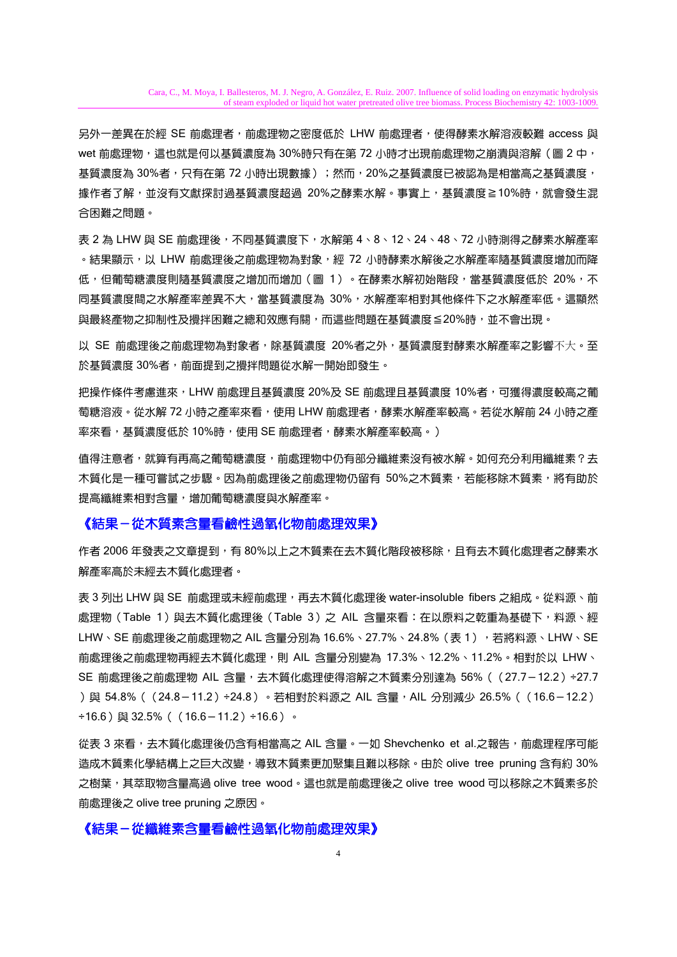另外一差異在於經 SE 前處理者,前處理物之密度低於 LHW 前處理者,使得酵素水解溶液較難 access 與 wet 前處理物,這也就是何以基質濃度為 30%時只有在第 72 小時才出現前處理物之崩潰與溶解 (圖 2 中, 基質濃度為 30%者,只有在第 72 小時出現數據 );然而,20%之基質濃度已被認為是相當高之基質濃度, 據作者了解,並沒有文獻探討過基質濃度超過 20%之酵素水解。事實上,基質濃度≧10%時,就會發生混 合困難之問題。

表 2 為 LHW 與 SE 前處理後,不同基質濃度下,水解第 4、8、12、24、48、72 小時測得之酵素水解產率 。結果顯示,以 LHW 前處理後之前處理物為對象,經 72 小時酵素水解後之水解產率隨基質濃度增加而降 低,但葡萄糖濃度則隨基質濃度之增加而增加(圖 1)。在酵素水解初始階段,當基質濃度低於 20%,不 同基質濃度間之水解產率差異不大,當基質濃度為 30%,水解產率相對其他條件下之水解產率低。這顯然 與最終產物之抑制性及攪拌困難之總和效應有關,而這些問題在基質濃度≦20%時,並不會出現。

以 SE 前處理後之前處理物為對象者,除基質濃度 20%者之外,基質濃度對酵素水解產率之影響不大。至 於基質濃度 30%者,前面提到之攪拌問題從水解一開始即發生。

把操作條件考慮進來,LHW 前處理且基質濃度 20%及 SE 前處理且基質濃度 10%者,可獲得濃度較高之葡 萄糖溶液。從水解 72 小時之產率來看,使用 LHW 前處理者,酵素水解產率較高。若從水解前 24 小時之產 率來看,基質濃度低於 10%時,使用 SE 前處理者,酵素水解產率較高。)

值得注意者,就算有再高之葡萄糖濃度,前處理物中仍有部分纖維素沒有被水解。如何充分利用纖維素?去 木質化是一種可嘗試之步驟。因為前處理後之前處理物仍留有 50%之木質素,若能移除木質素,將有助於 提高纖維素相對含量,增加葡萄糖濃度與水解產率。

### 《結果-從木質素含量看鹼性過氧化物前處理效果》

作者 2006 年發表之文章提到,有 80%以上之木質素在去木質化階段被移除,且有去木質化處理者之酵素水 解產率高於未經去木質化處理者。

表 3 列出 LHW 與 SE 前處理或未經前處理,再去木質化處理後 water-insoluble fibers 之組成。從料源、前 處理物 (Table 1)與去木質化處理後 (Table 3) 之 AIL 含量來看:在以原料之乾重為基礎下,料源、經 LHW、SE 前處理後之前處理物之 AIL 含量分別為 16.6%、27.7%、24.8%(表 1),若將料源、LHW、SE 前處理後之前處理物再經去木質化處理,則 AIL 含量分別變為 17.3%、12.2%、11.2%。相對於以 LHW、 SE 前處理後之前處理物 AIL 含量,去木質化處理使得溶解之木質素分別達為 56% ( (27.7-12.2) ÷27.7 )與 54.8% ((24.8−11.2)÷24.8)。若相對於料源之 AIL 含量,AIL 分別減少 26.5% ((16.6−12.2)  $\div$ 16.6) 與 32.5% ((16.6-11.2)  $\div$ 16.6)。

從表 3 來看,去木質化處理後仍含有相當高之 AIL 含量。一如 Shevchenko et al.之報告,前處理程序可能 造成木質素化學結構上之巨大改變,導致木質素更加聚集且難以移除。由於 olive tree pruning 含有約 30% 之樹葉,其萃取物含量高過 olive tree wood。這也就是前處理後之 olive tree wood 可以移除之木質素多於 前處理後之 olive tree pruning 之原因。

## 《結果-從纖維素含量看鹼性過氧化物前處理效果》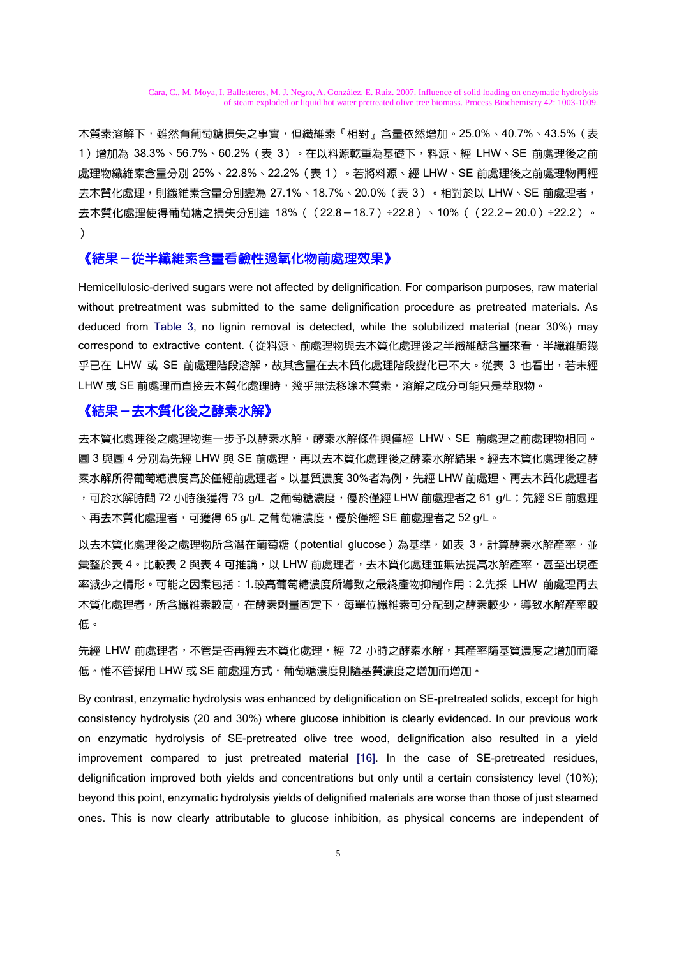木質素溶解下,雖然有葡萄糖損失之事實,但纖維素『相對』含量依然增加。25.0%、40.7%、43.5% ( 表 1)增加為 38.3%、56.7%、60.2%(表 3)。在以料源乾重為基礎下,料源、經 LHW、SE 前處理後之前 處理物纖維素含量分別 25%、22.8%、22.2%(表 1)。若將料源、經 LHW、SE 前處理後之前處理物再經 去木質化處理,則纖維素含量分別變為 27.1%、18.7%、20.0%(表 3)。相對於以 LHW、SE 前處理者, 去木質化處理使得葡萄糖之損失分別達 18%((22.8-18.7)÷22.8)、10%((22.2-20.0)÷22.2)。  $\lambda$ 

### 《結果-從半纖維素含量看鹼性過氧化物前處理效果》

Hemicellulosic-derived sugars were not affected by delignification. For comparison purposes, raw material without pretreatment was submitted to the same delignification procedure as pretreated materials. As deduced from Table 3, no lignin removal is detected, while the solubilized material (near 30%) may correspond to extractive content. (從料源、前處理物與去木質化處理後之半纖維醣含量來看,半纖維醣幾 乎已在 LHW 或 SE 前處理階段溶解,故其含量在去木質化處理階段變化已不大。從表 3 也看出,若未經 LHW 或 SE 前處理而直接去木質化處理時,幾乎無法移除木質素,溶解之成分可能只是萃取物。

#### 《結果-去木質化後之酵素水解》

去木質化處理後之處理物進一步予以酵素水解,酵素水解條件與僅經 LHW、SE 前處理之前處理物相同。 圖 3 與圖 4 分別為先經 LHW 與 SE 前處理,再以去木質化處理後之酵素水解結果。經去木質化處理後之酵 素水解所得葡萄糖濃度高於僅經前處理者。以基質濃度 30%者為例,先經 LHW 前處理、再去木質化處理者 ,可於水解時間 72 小時後獲得 73 g/L 之葡萄糖濃度,優於僅經 LHW 前處理者之 61 g/L;先經 SE 前處理 、再去木質化處理者,可獲得 65 g/L 之葡萄糖濃度,優於僅經 SE 前處理者之 52 g/L。

以去木質化處理後之處理物所含潛在葡萄糖 (potential glucose)為基準,如表 3,計算酵素水解產率,並 彙整於表 4。比較表 2 與表 4 可推論,以 LHW 前處理者,去木質化處理並無法提高水解產率,甚至出現產 率減少之情形。可能之因素包括:1.較高葡萄糖濃度所導致之最終產物抑制作用;2.先採 LHW 前處理再去 木質化處理者,所含纖維素較高,在酵素劑量固定下,每單位纖維素可分配到之酵素較少,導致水解產率較 低。

先經 LHW 前處理者,不管是否再經去木質化處理,經 72 小時之酵素水解,其產率隨基質濃度之增加而降 低。惟不管採用 LHW 或 SE 前處理方式,葡萄糖濃度則隨基質濃度之增加而增加。

By contrast, enzymatic hydrolysis was enhanced by delignification on SE-pretreated solids, except for high consistency hydrolysis (20 and 30%) where glucose inhibition is clearly evidenced. In our previous work on enzymatic hydrolysis of SE-pretreated olive tree wood, delignification also resulted in a yield improvement compared to just pretreated material [16]. In the case of SE-pretreated residues, delignification improved both yields and concentrations but only until a certain consistency level (10%); beyond this point, enzymatic hydrolysis yields of delignified materials are worse than those of just steamed ones. This is now clearly attributable to glucose inhibition, as physical concerns are independent of